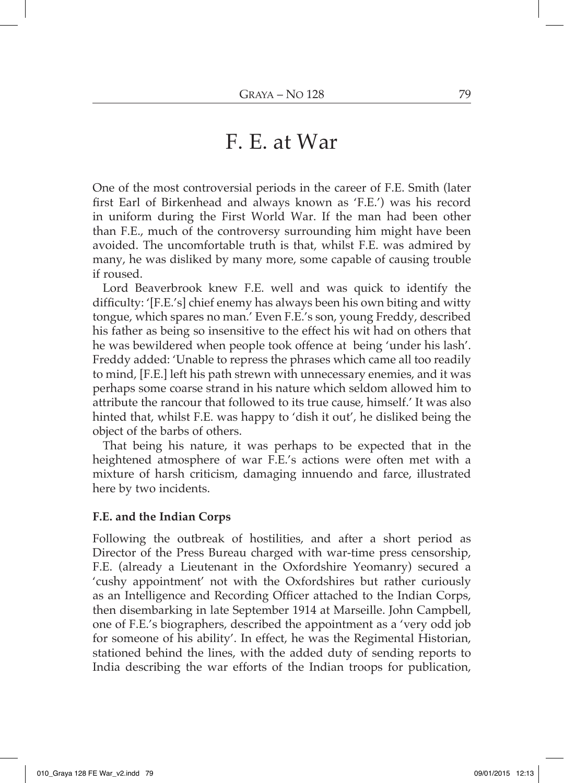## F. E. at War

One of the most controversial periods in the career of F.E. Smith (later first Earl of Birkenhead and always known as 'F.E.') was his record in uniform during the First World War. If the man had been other than F.E., much of the controversy surrounding him might have been avoided. The uncomfortable truth is that, whilst F.E. was admired by many, he was disliked by many more, some capable of causing trouble if roused.

Lord Beaverbrook knew F.E. well and was quick to identify the difficulty: '[F.E.'s] chief enemy has always been his own biting and witty tongue, which spares no man.' Even F.E.'s son, young Freddy, described his father as being so insensitive to the effect his wit had on others that he was bewildered when people took offence at being 'under his lash'. Freddy added: 'Unable to repress the phrases which came all too readily to mind, [F.E.] left his path strewn with unnecessary enemies, and it was perhaps some coarse strand in his nature which seldom allowed him to attribute the rancour that followed to its true cause, himself.' It was also hinted that, whilst F.E. was happy to 'dish it out', he disliked being the object of the barbs of others.

That being his nature, it was perhaps to be expected that in the heightened atmosphere of war F.E.'s actions were often met with a mixture of harsh criticism, damaging innuendo and farce, illustrated here by two incidents.

## F.E. and the Indian Corps

Following the outbreak of hostilities, and after a short period as Director of the Press Bureau charged with war-time press censorship, F.E. (already a Lieutenant in the Oxfordshire Yeomanry) secured a 'cushy appointment' not with the Oxfordshires but rather curiously as an Intelligence and Recording Officer attached to the Indian Corps, then disembarking in late September 1914 at Marseille. John Campbell, one of F.E.'s biographers, described the appointment as a 'very odd job for someone of his ability'. In effect, he was the Regimental Historian, stationed behind the lines, with the added duty of sending reports to India describing the war efforts of the Indian troops for publication,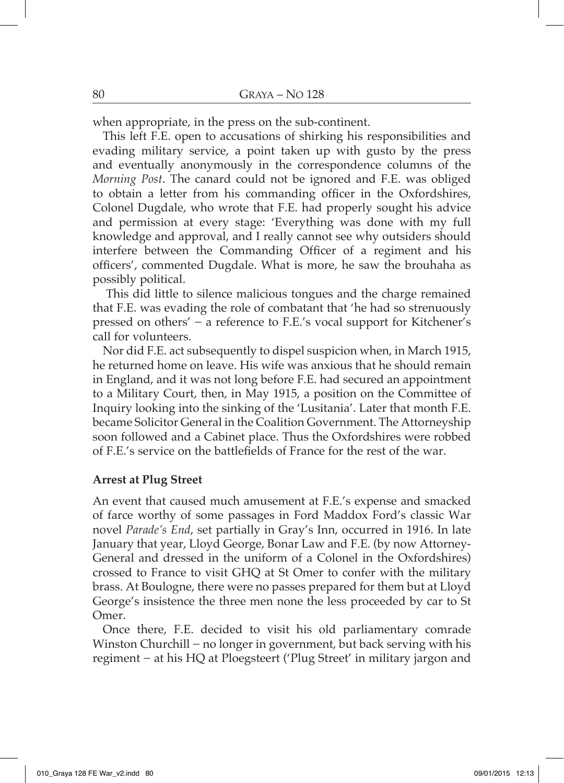when appropriate, in the press on the sub-continent.

This left F.E. open to accusations of shirking his responsibilities and evading military service, a point taken up with gusto by the press and eventually anonymously in the correspondence columns of the Morning Post. The canard could not be ignored and F.E. was obliged to obtain a letter from his commanding officer in the Oxfordshires, Colonel Dugdale, who wrote that F.E. had properly sought his advice and permission at every stage: 'Everything was done with my full knowledge and approval, and I really cannot see why outsiders should interfere between the Commanding Officer of a regiment and his officers', commented Dugdale. What is more, he saw the brouhaha as possibly political.

This did little to silence malicious tongues and the charge remained that F.E. was evading the role of combatant that 'he had so strenuously pressed on others' – a reference to F.E.'s vocal support for Kitchener's call for volunteers.

Nor did F.E. act subsequently to dispel suspicion when, in March 1915, he returned home on leave. His wife was anxious that he should remain in England, and it was not long before F.E. had secured an appointment to a Military Court, then, in May 1915, a position on the Committee of Inquiry looking into the sinking of the 'Lusitania'. Later that month F.E. became Solicitor General in the Coalition Government. The Attorneyship soon followed and a Cabinet place. Thus the Oxfordshires were robbed of F.E.'s service on the battlefields of France for the rest of the war.

## **Arrest at Plug Street**

An event that caused much amusement at F.E.'s expense and smacked of farce worthy of some passages in Ford Maddox Ford's classic War novel Parade's End, set partially in Gray's Inn, occurred in 1916. In late January that year, Lloyd George, Bonar Law and F.E. (by now Attorney-General and dressed in the uniform of a Colonel in the Oxfordshires) crossed to France to visit GHQ at St Omer to confer with the military brass. At Boulogne, there were no passes prepared for them but at Lloyd George's insistence the three men none the less proceeded by car to St Omer.

Once there, F.E. decided to visit his old parliamentary comrade Winston Churchill – no longer in government, but back serving with his regiment – at his HQ at Ploegsteert ('Plug Street' in military jargon and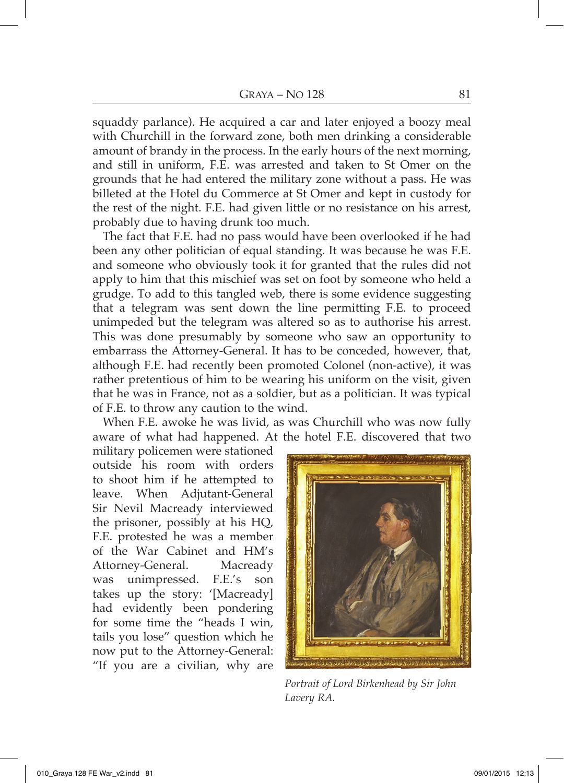squaddy parlance). He acquired a car and later enjoyed a boozy meal with Churchill in the forward zone, both men drinking a considerable amount of brandy in the process. In the early hours of the next morning, and still in uniform, F.E. was arrested and taken to St Omer on the grounds that he had entered the military zone without a pass. He was billeted at the Hotel du Commerce at St Omer and kept in custody for the rest of the night. F.E. had given little or no resistance on his arrest, probably due to having drunk too much.

The fact that F.E. had no pass would have been overlooked if he had been any other politician of equal standing. It was because he was F.E. and someone who obviously took it for granted that the rules did not apply to him that this mischief was set on foot by someone who held a grudge. To add to this tangled web, there is some evidence suggesting that a telegram was sent down the line permitting F.E. to proceed unimpeded but the telegram was altered so as to authorise his arrest. This was done presumably by someone who saw an opportunity to embarrass the Attorney-General. It has to be conceded, however, that, although F.E. had recently been promoted Colonel (non-active), it was rather pretentious of him to be wearing his uniform on the visit, given that he was in France, not as a soldier, but as a politician. It was typical of F.E. to throw any caution to the wind.

When F.E. awoke he was livid, as was Churchill who was now fully aware of what had happened. At the hotel F.E. discovered that two

military policemen were stationed outside his room with orders to shoot him if he attempted to leave. When Adjutant-General Sir Nevil Macready interviewed the prisoner, possibly at his HQ, F.E. protested he was a member of the War Cabinet and HM's Attorney-General. Macready was unimpressed. F.E.'s son takes up the story: '[Macready] had evidently been pondering for some time the "heads I win, tails you lose" question which he now put to the Attorney-General: "If you are a civilian, why are



Portrait of Lord Birkenhead by Sir John Lavery RA.